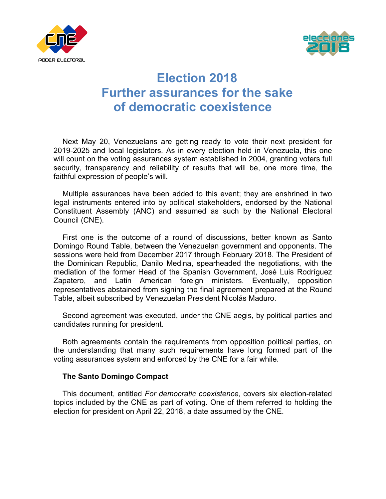



## **Election 2018 Further assurances for the sake of democratic coexistence**

Next May 20, Venezuelans are getting ready to vote their next president for 2019-2025 and local legislators. As in every election held in Venezuela, this one will count on the voting assurances system established in 2004, granting voters full security, transparency and reliability of results that will be, one more time, the faithful expression of people's will.

Multiple assurances have been added to this event; they are enshrined in two legal instruments entered into by political stakeholders, endorsed by the National Constituent Assembly (ANC) and assumed as such by the National Electoral Council (CNE).

First one is the outcome of a round of discussions, better known as Santo Domingo Round Table, between the Venezuelan government and opponents. The sessions were held from December 2017 through February 2018. The President of the Dominican Republic, Danilo Medina, spearheaded the negotiations, with the mediation of the former Head of the Spanish Government, José Luis Rodríguez Zapatero, and Latin American foreign ministers. Eventually, opposition representatives abstained from signing the final agreement prepared at the Round Table, albeit subscribed by Venezuelan President Nicolás Maduro.

Second agreement was executed, under the CNE aegis, by political parties and candidates running for president.

Both agreements contain the requirements from opposition political parties, on the understanding that many such requirements have long formed part of the voting assurances system and enforced by the CNE for a fair while.

## **The Santo Domingo Compact**

This document, entitled *For democratic coexistence,* covers six election-related topics included by the CNE as part of voting. One of them referred to holding the election for president on April 22, 2018, a date assumed by the CNE.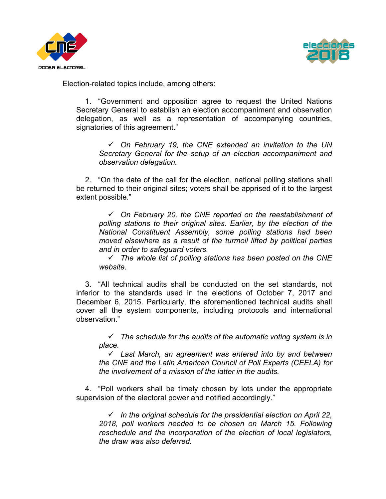



Election-related topics include, among others:

1. "Government and opposition agree to request the United Nations Secretary General to establish an election accompaniment and observation delegation, as well as a representation of accompanying countries, signatories of this agreement."

! *On February 19, the CNE extended an invitation to the UN Secretary General for the setup of an election accompaniment and observation delegation.*

2. "On the date of the call for the election, national polling stations shall be returned to their original sites; voters shall be apprised of it to the largest extent possible."

! *On February 20, the CNE reported on the reestablishment of polling stations to their original sites. Earlier, by the election of the National Constituent Assembly, some polling stations had been moved elsewhere as a result of the turmoil lifted by political parties and in order to safeguard voters.*

! *The whole list of polling stations has been posted on the CNE website.*

3. "All technical audits shall be conducted on the set standards, not inferior to the standards used in the elections of October 7, 2017 and December 6, 2015. Particularly, the aforementioned technical audits shall cover all the system components, including protocols and international observation."

 $\checkmark$  The schedule for the audits of the automatic voting system is in *place.*

! *Last March, an agreement was entered into by and between the CNE and the Latin American Council of Poll Experts (CEELA) for the involvement of a mission of the latter in the audits.* 

4. "Poll workers shall be timely chosen by lots under the appropriate supervision of the electoral power and notified accordingly."

! *In the original schedule for the presidential election on April 22, 2018, poll workers needed to be chosen on March 15. Following reschedule and the incorporation of the election of local legislators, the draw was also deferred.*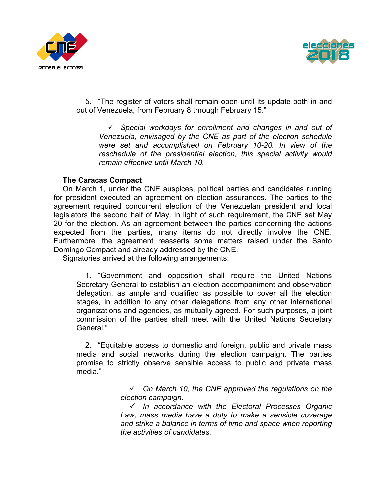



5. "The register of voters shall remain open until its update both in and out of Venezuela, from February 8 through February 15."

! *Special workdays for enrollment and changes in and out of Venezuela, envisaged by the CNE as part of the election schedule were set and accomplished on February 10-20. In view of the reschedule of the presidential election, this special activity would remain effective until March 10.* 

## **The Caracas Compact**

On March 1, under the CNE auspices, political parties and candidates running for president executed an agreement on election assurances. The parties to the agreement required concurrent election of the Venezuelan president and local legislators the second half of May. In light of such requirement, the CNE set May 20 for the election. As an agreement between the parties concerning the actions expected from the parties, many items do not directly involve the CNE. Furthermore, the agreement reasserts some matters raised under the Santo Domingo Compact and already addressed by the CNE.

Signatories arrived at the following arrangements:

1. "Government and opposition shall require the United Nations Secretary General to establish an election accompaniment and observation delegation, as ample and qualified as possible to cover all the election stages, in addition to any other delegations from any other international organizations and agencies, as mutually agreed. For such purposes, a joint commission of the parties shall meet with the United Nations Secretary General."

2. "Equitable access to domestic and foreign, public and private mass media and social networks during the election campaign. The parties promise to strictly observe sensible access to public and private mass media."

> ! *On March 10, the CNE approved the regulations on the election campaign.*

> ! *In accordance with the Electoral Processes Organic Law, mass media have a duty to make a sensible coverage and strike a balance in terms of time and space when reporting the activities of candidates.*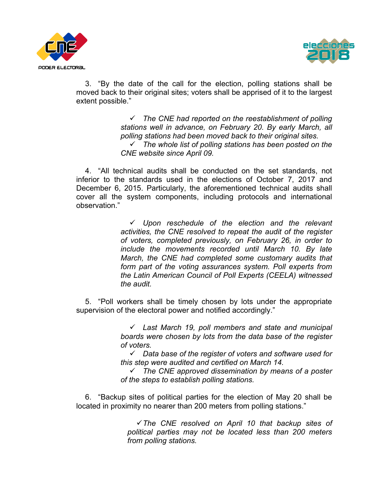



3. "By the date of the call for the election, polling stations shall be moved back to their original sites; voters shall be apprised of it to the largest extent possible."

> ! *The CNE had reported on the reestablishment of polling stations well in advance, on February 20. By early March, all polling stations had been moved back to their original sites.* ! *The whole list of polling stations has been posted on the CNE website since April 09.*

4. "All technical audits shall be conducted on the set standards, not inferior to the standards used in the elections of October 7, 2017 and December 6, 2015. Particularly, the aforementioned technical audits shall cover all the system components, including protocols and international observation."

> ! *Upon reschedule of the election and the relevant activities, the CNE resolved to repeat the audit of the register of voters, completed previously, on February 26, in order to include the movements recorded until March 10. By late March, the CNE had completed some customary audits that form part of the voting assurances system. Poll experts from the Latin American Council of Poll Experts (CEELA) witnessed the audit.*

5. "Poll workers shall be timely chosen by lots under the appropriate supervision of the electoral power and notified accordingly."

> ! *Last March 19, poll members and state and municipal boards were chosen by lots from the data base of the register of voters.*

> ! *Data base of the register of voters and software used for this step were audited and certified on March 14.*

> ! *The CNE approved dissemination by means of a poster of the steps to establish polling stations.*

6. "Backup sites of political parties for the election of May 20 shall be located in proximity no nearer than 200 meters from polling stations."

> !*The CNE resolved on April 10 that backup sites of political parties may not be located less than 200 meters from polling stations.*